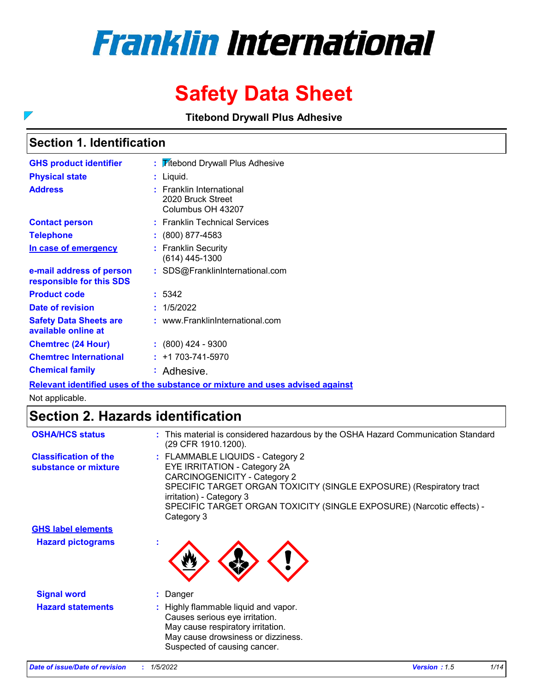# **Franklin International**

## **Safety Data Sheet**

**Titebond Drywall Plus Adhesive**

### **Section 1. Identification**

 $\overline{\phantom{a}}$ 

| <b>GHS product identifier</b>                        | <b>Titebond Drywall Plus Adhesive</b>                                   |
|------------------------------------------------------|-------------------------------------------------------------------------|
| <b>Physical state</b>                                | Liquid.                                                                 |
| <b>Address</b>                                       | <b>Franklin International</b><br>2020 Bruck Street<br>Columbus OH 43207 |
| <b>Contact person</b>                                | : Franklin Technical Services                                           |
| <b>Telephone</b>                                     | (800) 877-4583                                                          |
| In case of emergency                                 | : Franklin Security<br>$(614)$ 445-1300                                 |
| e-mail address of person<br>responsible for this SDS | : SDS@FranklinInternational.com                                         |
| <b>Product code</b>                                  | : 5342                                                                  |
| Date of revision                                     | 1/5/2022                                                                |
| <b>Safety Data Sheets are</b><br>available online at | : www.FranklinInternational.com                                         |
| <b>Chemtrec (24 Hour)</b>                            | $\colon$ (800) 424 - 9300                                               |
| <b>Chemtrec International</b>                        | +1 703-741-5970                                                         |
| <b>Chemical family</b>                               | : Adhesive.                                                             |

**Relevant identified uses of the substance or mixture and uses advised against**

Not applicable.

### **Section 2. Hazards identification**

| <b>OSHA/HCS status</b>                               | : This material is considered hazardous by the OSHA Hazard Communication Standard<br>(29 CFR 1910.1200).                                                                                                                                                                                   |
|------------------------------------------------------|--------------------------------------------------------------------------------------------------------------------------------------------------------------------------------------------------------------------------------------------------------------------------------------------|
| <b>Classification of the</b><br>substance or mixture | : FLAMMABLE LIQUIDS - Category 2<br>EYE IRRITATION - Category 2A<br>CARCINOGENICITY - Category 2<br>SPECIFIC TARGET ORGAN TOXICITY (SINGLE EXPOSURE) (Respiratory tract<br>irritation) - Category 3<br>SPECIFIC TARGET ORGAN TOXICITY (SINGLE EXPOSURE) (Narcotic effects) -<br>Category 3 |
| <b>GHS label elements</b>                            |                                                                                                                                                                                                                                                                                            |
| <b>Hazard pictograms</b>                             |                                                                                                                                                                                                                                                                                            |
| <b>Signal word</b>                                   | : Danger                                                                                                                                                                                                                                                                                   |
| <b>Hazard statements</b>                             | : Highly flammable liquid and vapor.<br>Causes serious eye irritation.<br>May cause respiratory irritation.<br>May cause drowsiness or dizziness.<br>Suspected of causing cancer.                                                                                                          |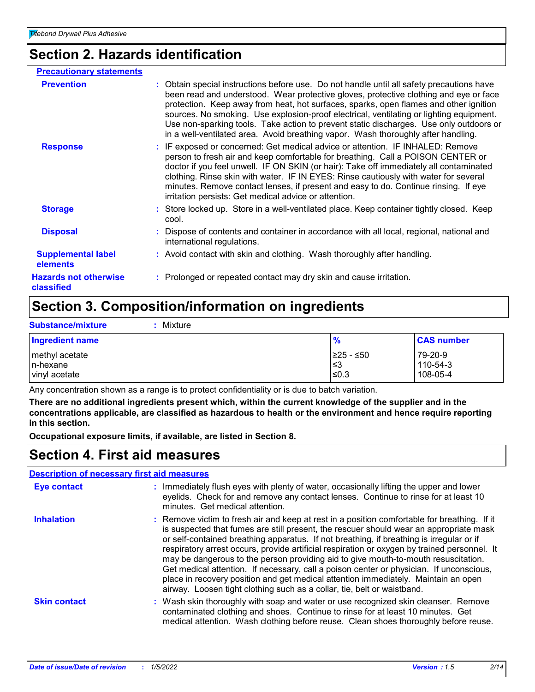### **Section 2. Hazards identification**

| : Obtain special instructions before use. Do not handle until all safety precautions have<br>been read and understood. Wear protective gloves, protective clothing and eye or face<br>protection. Keep away from heat, hot surfaces, sparks, open flames and other ignition<br>sources. No smoking. Use explosion-proof electrical, ventilating or lighting equipment.<br>Use non-sparking tools. Take action to prevent static discharges. Use only outdoors or<br>in a well-ventilated area. Avoid breathing vapor. Wash thoroughly after handling. |
|-------------------------------------------------------------------------------------------------------------------------------------------------------------------------------------------------------------------------------------------------------------------------------------------------------------------------------------------------------------------------------------------------------------------------------------------------------------------------------------------------------------------------------------------------------|
| : IF exposed or concerned: Get medical advice or attention. IF INHALED: Remove<br>person to fresh air and keep comfortable for breathing. Call a POISON CENTER or<br>doctor if you feel unwell. IF ON SKIN (or hair): Take off immediately all contaminated<br>clothing. Rinse skin with water. IF IN EYES: Rinse cautiously with water for several<br>minutes. Remove contact lenses, if present and easy to do. Continue rinsing. If eye<br>irritation persists: Get medical advice or attention.                                                   |
| : Store locked up. Store in a well-ventilated place. Keep container tightly closed. Keep<br>cool.                                                                                                                                                                                                                                                                                                                                                                                                                                                     |
| : Dispose of contents and container in accordance with all local, regional, national and<br>international regulations.                                                                                                                                                                                                                                                                                                                                                                                                                                |
| : Avoid contact with skin and clothing. Wash thoroughly after handling.                                                                                                                                                                                                                                                                                                                                                                                                                                                                               |
| : Prolonged or repeated contact may dry skin and cause irritation.                                                                                                                                                                                                                                                                                                                                                                                                                                                                                    |
|                                                                                                                                                                                                                                                                                                                                                                                                                                                                                                                                                       |

### **Section 3. Composition/information on ingredients**

| <b>Substance/mixture</b>                     | Mixture |                             |                                 |
|----------------------------------------------|---------|-----------------------------|---------------------------------|
| <b>Ingredient name</b>                       |         | $\frac{9}{6}$               | <b>CAS number</b>               |
| methyl acetate<br>In-hexane<br>vinyl acetate |         | I≥25 - ≤50<br>∣≤3<br>$≤0.3$ | 79-20-9<br>110-54-3<br>108-05-4 |

Any concentration shown as a range is to protect confidentiality or is due to batch variation.

**There are no additional ingredients present which, within the current knowledge of the supplier and in the concentrations applicable, are classified as hazardous to health or the environment and hence require reporting in this section.**

**Occupational exposure limits, if available, are listed in Section 8.**

### **Section 4. First aid measures**

|--|

| <b>Eye contact</b>  | Immediately flush eyes with plenty of water, occasionally lifting the upper and lower<br>eyelids. Check for and remove any contact lenses. Continue to rinse for at least 10<br>minutes. Get medical attention.                                                                                                                                                                                                                                                                                                                                                                                                                                                                                                                      |
|---------------------|--------------------------------------------------------------------------------------------------------------------------------------------------------------------------------------------------------------------------------------------------------------------------------------------------------------------------------------------------------------------------------------------------------------------------------------------------------------------------------------------------------------------------------------------------------------------------------------------------------------------------------------------------------------------------------------------------------------------------------------|
| <b>Inhalation</b>   | : Remove victim to fresh air and keep at rest in a position comfortable for breathing. If it<br>is suspected that fumes are still present, the rescuer should wear an appropriate mask<br>or self-contained breathing apparatus. If not breathing, if breathing is irregular or if<br>respiratory arrest occurs, provide artificial respiration or oxygen by trained personnel. It<br>may be dangerous to the person providing aid to give mouth-to-mouth resuscitation.<br>Get medical attention. If necessary, call a poison center or physician. If unconscious,<br>place in recovery position and get medical attention immediately. Maintain an open<br>airway. Loosen tight clothing such as a collar, tie, belt or waistband. |
| <b>Skin contact</b> | : Wash skin thoroughly with soap and water or use recognized skin cleanser. Remove<br>contaminated clothing and shoes. Continue to rinse for at least 10 minutes. Get<br>medical attention. Wash clothing before reuse. Clean shoes thoroughly before reuse.                                                                                                                                                                                                                                                                                                                                                                                                                                                                         |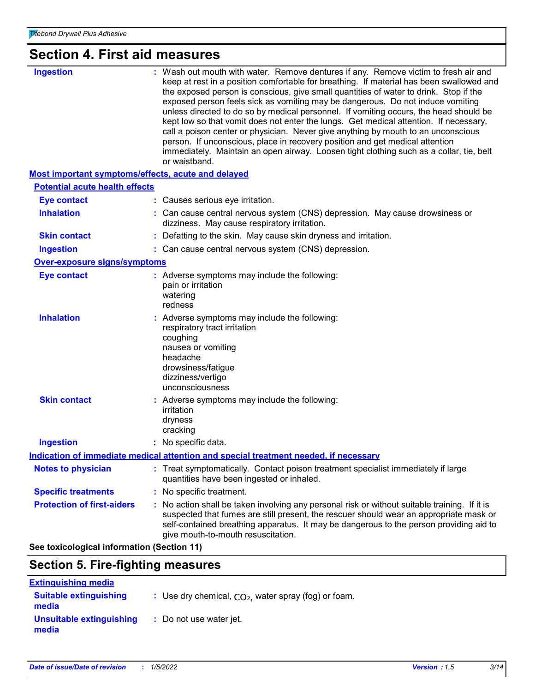### **Section 4. First aid measures**

| <b>Ingestion</b>                                   | : Wash out mouth with water. Remove dentures if any. Remove victim to fresh air and<br>keep at rest in a position comfortable for breathing. If material has been swallowed and<br>the exposed person is conscious, give small quantities of water to drink. Stop if the<br>exposed person feels sick as vomiting may be dangerous. Do not induce vomiting<br>unless directed to do so by medical personnel. If vomiting occurs, the head should be<br>kept low so that vomit does not enter the lungs. Get medical attention. If necessary,<br>call a poison center or physician. Never give anything by mouth to an unconscious<br>person. If unconscious, place in recovery position and get medical attention<br>immediately. Maintain an open airway. Loosen tight clothing such as a collar, tie, belt<br>or waistband. |
|----------------------------------------------------|-------------------------------------------------------------------------------------------------------------------------------------------------------------------------------------------------------------------------------------------------------------------------------------------------------------------------------------------------------------------------------------------------------------------------------------------------------------------------------------------------------------------------------------------------------------------------------------------------------------------------------------------------------------------------------------------------------------------------------------------------------------------------------------------------------------------------------|
| Most important symptoms/effects, acute and delayed |                                                                                                                                                                                                                                                                                                                                                                                                                                                                                                                                                                                                                                                                                                                                                                                                                               |
| <b>Potential acute health effects</b>              |                                                                                                                                                                                                                                                                                                                                                                                                                                                                                                                                                                                                                                                                                                                                                                                                                               |
| <b>Eye contact</b>                                 | : Causes serious eye irritation.                                                                                                                                                                                                                                                                                                                                                                                                                                                                                                                                                                                                                                                                                                                                                                                              |
| <b>Inhalation</b>                                  | : Can cause central nervous system (CNS) depression. May cause drowsiness or<br>dizziness. May cause respiratory irritation.                                                                                                                                                                                                                                                                                                                                                                                                                                                                                                                                                                                                                                                                                                  |
| <b>Skin contact</b>                                | : Defatting to the skin. May cause skin dryness and irritation.                                                                                                                                                                                                                                                                                                                                                                                                                                                                                                                                                                                                                                                                                                                                                               |
| <b>Ingestion</b>                                   | : Can cause central nervous system (CNS) depression.                                                                                                                                                                                                                                                                                                                                                                                                                                                                                                                                                                                                                                                                                                                                                                          |
| <b>Over-exposure signs/symptoms</b>                |                                                                                                                                                                                                                                                                                                                                                                                                                                                                                                                                                                                                                                                                                                                                                                                                                               |
| <b>Eye contact</b>                                 | : Adverse symptoms may include the following:<br>pain or irritation<br>watering<br>redness                                                                                                                                                                                                                                                                                                                                                                                                                                                                                                                                                                                                                                                                                                                                    |
| <b>Inhalation</b>                                  | : Adverse symptoms may include the following:<br>respiratory tract irritation<br>coughing<br>nausea or vomiting<br>headache<br>drowsiness/fatigue<br>dizziness/vertigo<br>unconsciousness                                                                                                                                                                                                                                                                                                                                                                                                                                                                                                                                                                                                                                     |
| <b>Skin contact</b>                                | : Adverse symptoms may include the following:<br>irritation<br>dryness<br>cracking                                                                                                                                                                                                                                                                                                                                                                                                                                                                                                                                                                                                                                                                                                                                            |
| <b>Ingestion</b>                                   | : No specific data.                                                                                                                                                                                                                                                                                                                                                                                                                                                                                                                                                                                                                                                                                                                                                                                                           |
|                                                    | Indication of immediate medical attention and special treatment needed, if necessary                                                                                                                                                                                                                                                                                                                                                                                                                                                                                                                                                                                                                                                                                                                                          |
| <b>Notes to physician</b>                          | : Treat symptomatically. Contact poison treatment specialist immediately if large<br>quantities have been ingested or inhaled.                                                                                                                                                                                                                                                                                                                                                                                                                                                                                                                                                                                                                                                                                                |
| <b>Specific treatments</b>                         | : No specific treatment.                                                                                                                                                                                                                                                                                                                                                                                                                                                                                                                                                                                                                                                                                                                                                                                                      |
| <b>Protection of first-aiders</b>                  | : No action shall be taken involving any personal risk or without suitable training. If it is<br>suspected that fumes are still present, the rescuer should wear an appropriate mask or<br>self-contained breathing apparatus. It may be dangerous to the person providing aid to<br>give mouth-to-mouth resuscitation.                                                                                                                                                                                                                                                                                                                                                                                                                                                                                                       |
| See toxicological information (Section 11)         |                                                                                                                                                                                                                                                                                                                                                                                                                                                                                                                                                                                                                                                                                                                                                                                                                               |

### **Section 5. Fire-fighting measures**

| <b>Extinguishing media</b>             |                                                        |
|----------------------------------------|--------------------------------------------------------|
| <b>Suitable extinguishing</b><br>media | : Use dry chemical, $CO2$ , water spray (fog) or foam. |
| Unsuitable extinguishing<br>media      | : Do not use water jet.                                |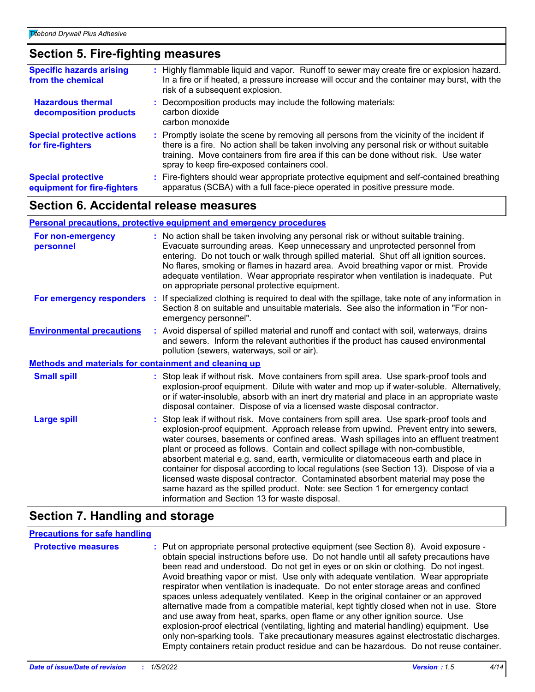### **Section 5. Fire-fighting measures**

| <b>Specific hazards arising</b><br>from the chemical     | : Highly flammable liquid and vapor. Runoff to sewer may create fire or explosion hazard.<br>In a fire or if heated, a pressure increase will occur and the container may burst, with the<br>risk of a subsequent explosion.                                                                                                  |
|----------------------------------------------------------|-------------------------------------------------------------------------------------------------------------------------------------------------------------------------------------------------------------------------------------------------------------------------------------------------------------------------------|
| <b>Hazardous thermal</b><br>decomposition products       | Decomposition products may include the following materials:<br>carbon dioxide<br>carbon monoxide                                                                                                                                                                                                                              |
| <b>Special protective actions</b><br>for fire-fighters   | : Promptly isolate the scene by removing all persons from the vicinity of the incident if<br>there is a fire. No action shall be taken involving any personal risk or without suitable<br>training. Move containers from fire area if this can be done without risk. Use water<br>spray to keep fire-exposed containers cool. |
| <b>Special protective</b><br>equipment for fire-fighters | Fire-fighters should wear appropriate protective equipment and self-contained breathing<br>apparatus (SCBA) with a full face-piece operated in positive pressure mode.                                                                                                                                                        |

### **Section 6. Accidental release measures**

#### **Personal precautions, protective equipment and emergency procedures**

| For non-emergency<br>personnel                               | : No action shall be taken involving any personal risk or without suitable training.<br>Evacuate surrounding areas. Keep unnecessary and unprotected personnel from<br>entering. Do not touch or walk through spilled material. Shut off all ignition sources.<br>No flares, smoking or flames in hazard area. Avoid breathing vapor or mist. Provide<br>adequate ventilation. Wear appropriate respirator when ventilation is inadequate. Put<br>on appropriate personal protective equipment.                                                                                                                                                                                                                                                                      |  |
|--------------------------------------------------------------|----------------------------------------------------------------------------------------------------------------------------------------------------------------------------------------------------------------------------------------------------------------------------------------------------------------------------------------------------------------------------------------------------------------------------------------------------------------------------------------------------------------------------------------------------------------------------------------------------------------------------------------------------------------------------------------------------------------------------------------------------------------------|--|
| For emergency responders                                     | : If specialized clothing is required to deal with the spillage, take note of any information in<br>Section 8 on suitable and unsuitable materials. See also the information in "For non-<br>emergency personnel".                                                                                                                                                                                                                                                                                                                                                                                                                                                                                                                                                   |  |
| <b>Environmental precautions</b>                             | : Avoid dispersal of spilled material and runoff and contact with soil, waterways, drains<br>and sewers. Inform the relevant authorities if the product has caused environmental<br>pollution (sewers, waterways, soil or air).                                                                                                                                                                                                                                                                                                                                                                                                                                                                                                                                      |  |
| <b>Methods and materials for containment and cleaning up</b> |                                                                                                                                                                                                                                                                                                                                                                                                                                                                                                                                                                                                                                                                                                                                                                      |  |
| <b>Small spill</b>                                           | : Stop leak if without risk. Move containers from spill area. Use spark-proof tools and<br>explosion-proof equipment. Dilute with water and mop up if water-soluble. Alternatively,<br>or if water-insoluble, absorb with an inert dry material and place in an appropriate waste<br>disposal container. Dispose of via a licensed waste disposal contractor.                                                                                                                                                                                                                                                                                                                                                                                                        |  |
| <b>Large spill</b>                                           | : Stop leak if without risk. Move containers from spill area. Use spark-proof tools and<br>explosion-proof equipment. Approach release from upwind. Prevent entry into sewers,<br>water courses, basements or confined areas. Wash spillages into an effluent treatment<br>plant or proceed as follows. Contain and collect spillage with non-combustible,<br>absorbent material e.g. sand, earth, vermiculite or diatomaceous earth and place in<br>container for disposal according to local regulations (see Section 13). Dispose of via a<br>licensed waste disposal contractor. Contaminated absorbent material may pose the<br>same hazard as the spilled product. Note: see Section 1 for emergency contact<br>information and Section 13 for waste disposal. |  |

### **Section 7. Handling and storage**

#### **Precautions for safe handling**

**Protective measures** : Put on appropriate personal protective equipment (see Section 8). Avoid exposure obtain special instructions before use. Do not handle until all safety precautions have been read and understood. Do not get in eyes or on skin or clothing. Do not ingest. Avoid breathing vapor or mist. Use only with adequate ventilation. Wear appropriate respirator when ventilation is inadequate. Do not enter storage areas and confined spaces unless adequately ventilated. Keep in the original container or an approved alternative made from a compatible material, kept tightly closed when not in use. Store and use away from heat, sparks, open flame or any other ignition source. Use explosion-proof electrical (ventilating, lighting and material handling) equipment. Use only non-sparking tools. Take precautionary measures against electrostatic discharges. Empty containers retain product residue and can be hazardous. Do not reuse container.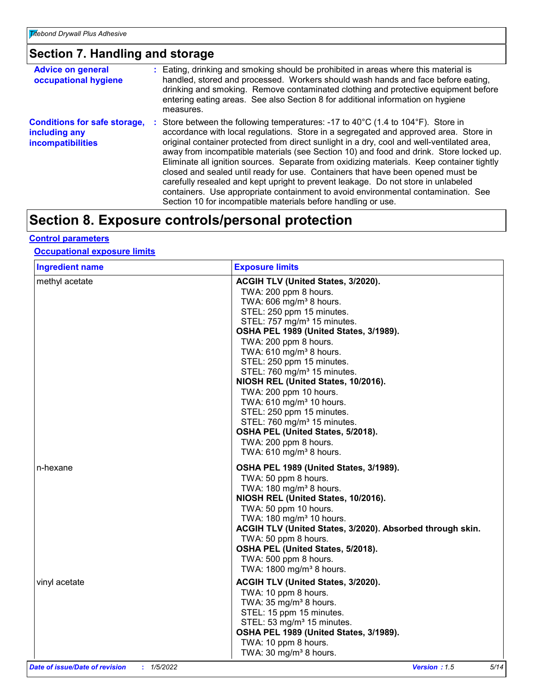### **Section 7. Handling and storage**

| <b>Advice on general</b><br>occupational hygiene                                 | : Eating, drinking and smoking should be prohibited in areas where this material is<br>handled, stored and processed. Workers should wash hands and face before eating,<br>drinking and smoking. Remove contaminated clothing and protective equipment before<br>entering eating areas. See also Section 8 for additional information on hygiene<br>measures.                                                                                                                                                                                                                                                                                                                                                                                                                                                     |
|----------------------------------------------------------------------------------|-------------------------------------------------------------------------------------------------------------------------------------------------------------------------------------------------------------------------------------------------------------------------------------------------------------------------------------------------------------------------------------------------------------------------------------------------------------------------------------------------------------------------------------------------------------------------------------------------------------------------------------------------------------------------------------------------------------------------------------------------------------------------------------------------------------------|
| <b>Conditions for safe storage,</b><br>including any<br><b>incompatibilities</b> | : Store between the following temperatures: -17 to 40 $^{\circ}$ C (1.4 to 104 $^{\circ}$ F). Store in<br>accordance with local regulations. Store in a segregated and approved area. Store in<br>original container protected from direct sunlight in a dry, cool and well-ventilated area,<br>away from incompatible materials (see Section 10) and food and drink. Store locked up.<br>Eliminate all ignition sources. Separate from oxidizing materials. Keep container tightly<br>closed and sealed until ready for use. Containers that have been opened must be<br>carefully resealed and kept upright to prevent leakage. Do not store in unlabeled<br>containers. Use appropriate containment to avoid environmental contamination. See<br>Section 10 for incompatible materials before handling or use. |

### **Section 8. Exposure controls/personal protection**

#### **Control parameters**

#### **Occupational exposure limits**

| <b>Ingredient name</b>    | <b>Exposure limits</b>                                                                                                                                                                                                                                                                                                                                                                                                                                                                                                                                                                                                                               |
|---------------------------|------------------------------------------------------------------------------------------------------------------------------------------------------------------------------------------------------------------------------------------------------------------------------------------------------------------------------------------------------------------------------------------------------------------------------------------------------------------------------------------------------------------------------------------------------------------------------------------------------------------------------------------------------|
| methyl acetate            | ACGIH TLV (United States, 3/2020).<br>TWA: 200 ppm 8 hours.<br>TWA: $606$ mg/m <sup>3</sup> 8 hours.<br>STEL: 250 ppm 15 minutes.<br>STEL: 757 mg/m <sup>3</sup> 15 minutes.<br>OSHA PEL 1989 (United States, 3/1989).<br>TWA: 200 ppm 8 hours.<br>TWA: 610 mg/m <sup>3</sup> 8 hours.<br>STEL: 250 ppm 15 minutes.<br>STEL: 760 mg/m <sup>3</sup> 15 minutes.<br>NIOSH REL (United States, 10/2016).<br>TWA: 200 ppm 10 hours.<br>TWA: 610 mg/m <sup>3</sup> 10 hours.<br>STEL: 250 ppm 15 minutes.<br>STEL: 760 mg/m <sup>3</sup> 15 minutes.<br>OSHA PEL (United States, 5/2018).<br>TWA: 200 ppm 8 hours.<br>TWA: 610 mg/m <sup>3</sup> 8 hours. |
| n-hexane<br>vinyl acetate | OSHA PEL 1989 (United States, 3/1989).<br>TWA: 50 ppm 8 hours.<br>TWA: 180 mg/m <sup>3</sup> 8 hours.<br>NIOSH REL (United States, 10/2016).<br>TWA: 50 ppm 10 hours.<br>TWA: 180 mg/m <sup>3</sup> 10 hours.<br>ACGIH TLV (United States, 3/2020). Absorbed through skin.<br>TWA: 50 ppm 8 hours.<br>OSHA PEL (United States, 5/2018).<br>TWA: 500 ppm 8 hours.<br>TWA: $1800$ mg/m <sup>3</sup> 8 hours.<br>ACGIH TLV (United States, 3/2020).                                                                                                                                                                                                     |
|                           | TWA: 10 ppm 8 hours.<br>TWA: $35 \text{ mg/m}^3$ 8 hours.<br>STEL: 15 ppm 15 minutes.<br>STEL: 53 mg/m <sup>3</sup> 15 minutes.<br>OSHA PEL 1989 (United States, 3/1989).<br>TWA: 10 ppm 8 hours.<br>TWA: 30 mg/m <sup>3</sup> 8 hours.                                                                                                                                                                                                                                                                                                                                                                                                              |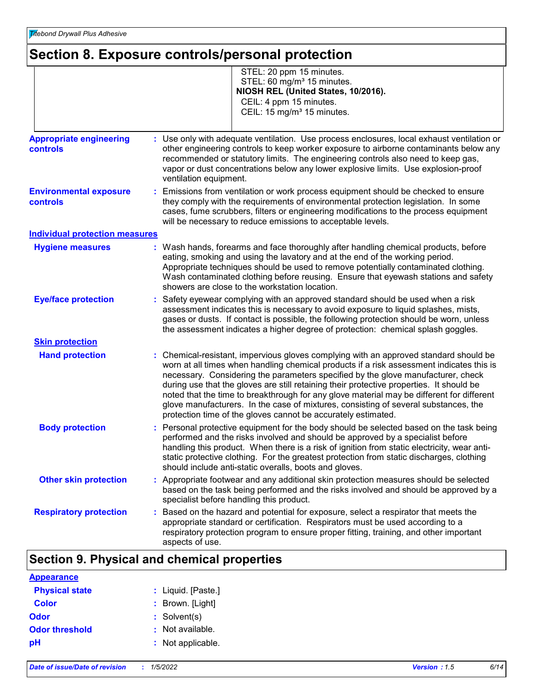### **Section 8. Exposure controls/personal protection**

|                                                   | STEL: 20 ppm 15 minutes.<br>STEL: 60 mg/m <sup>3</sup> 15 minutes.<br>NIOSH REL (United States, 10/2016).<br>CEIL: 4 ppm 15 minutes.<br>CEIL: 15 mg/m <sup>3</sup> 15 minutes.                                                                                                                                                                                                                                                                                                                                                                                                                                         |
|---------------------------------------------------|------------------------------------------------------------------------------------------------------------------------------------------------------------------------------------------------------------------------------------------------------------------------------------------------------------------------------------------------------------------------------------------------------------------------------------------------------------------------------------------------------------------------------------------------------------------------------------------------------------------------|
| <b>Appropriate engineering</b><br><b>controls</b> | : Use only with adequate ventilation. Use process enclosures, local exhaust ventilation or<br>other engineering controls to keep worker exposure to airborne contaminants below any<br>recommended or statutory limits. The engineering controls also need to keep gas,<br>vapor or dust concentrations below any lower explosive limits. Use explosion-proof<br>ventilation equipment.                                                                                                                                                                                                                                |
| <b>Environmental exposure</b><br><b>controls</b>  | : Emissions from ventilation or work process equipment should be checked to ensure<br>they comply with the requirements of environmental protection legislation. In some<br>cases, fume scrubbers, filters or engineering modifications to the process equipment<br>will be necessary to reduce emissions to acceptable levels.                                                                                                                                                                                                                                                                                        |
| <b>Individual protection measures</b>             |                                                                                                                                                                                                                                                                                                                                                                                                                                                                                                                                                                                                                        |
| <b>Hygiene measures</b>                           | : Wash hands, forearms and face thoroughly after handling chemical products, before<br>eating, smoking and using the lavatory and at the end of the working period.<br>Appropriate techniques should be used to remove potentially contaminated clothing.<br>Wash contaminated clothing before reusing. Ensure that eyewash stations and safety<br>showers are close to the workstation location.                                                                                                                                                                                                                      |
| <b>Eye/face protection</b>                        | : Safety eyewear complying with an approved standard should be used when a risk<br>assessment indicates this is necessary to avoid exposure to liquid splashes, mists,<br>gases or dusts. If contact is possible, the following protection should be worn, unless<br>the assessment indicates a higher degree of protection: chemical splash goggles.                                                                                                                                                                                                                                                                  |
| <b>Skin protection</b>                            |                                                                                                                                                                                                                                                                                                                                                                                                                                                                                                                                                                                                                        |
| <b>Hand protection</b>                            | : Chemical-resistant, impervious gloves complying with an approved standard should be<br>worn at all times when handling chemical products if a risk assessment indicates this is<br>necessary. Considering the parameters specified by the glove manufacturer, check<br>during use that the gloves are still retaining their protective properties. It should be<br>noted that the time to breakthrough for any glove material may be different for different<br>glove manufacturers. In the case of mixtures, consisting of several substances, the<br>protection time of the gloves cannot be accurately estimated. |
| <b>Body protection</b>                            | : Personal protective equipment for the body should be selected based on the task being<br>performed and the risks involved and should be approved by a specialist before<br>handling this product. When there is a risk of ignition from static electricity, wear anti-<br>static protective clothing. For the greatest protection from static discharges, clothing<br>should include anti-static overalls, boots and gloves.                                                                                                                                                                                         |
| <b>Other skin protection</b>                      | : Appropriate footwear and any additional skin protection measures should be selected<br>based on the task being performed and the risks involved and should be approved by a<br>specialist before handling this product.                                                                                                                                                                                                                                                                                                                                                                                              |
| <b>Respiratory protection</b>                     | : Based on the hazard and potential for exposure, select a respirator that meets the<br>appropriate standard or certification. Respirators must be used according to a<br>respiratory protection program to ensure proper fitting, training, and other important<br>aspects of use.                                                                                                                                                                                                                                                                                                                                    |

### **Section 9. Physical and chemical properties**

| <b>Appearance</b>     |                    |
|-----------------------|--------------------|
| <b>Physical state</b> | : Liquid. [Paste.] |
| <b>Color</b>          | : Brown. [Light]   |
| Odor                  | $:$ Solvent(s)     |
| <b>Odor threshold</b> | : Not available.   |
| рH                    | : Not applicable.  |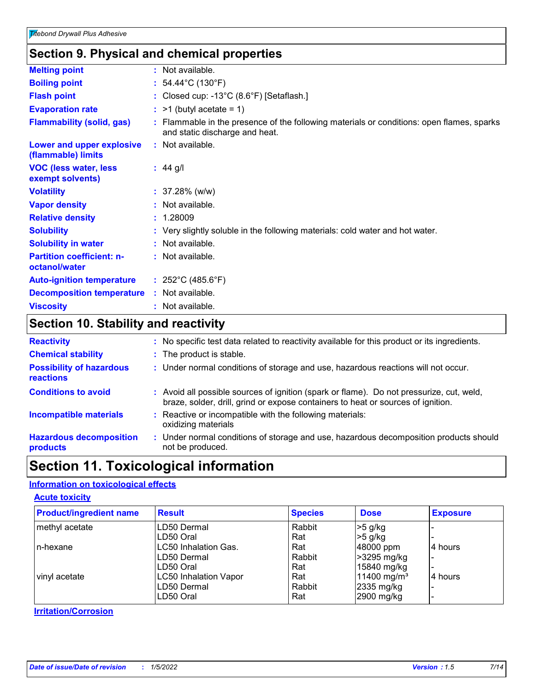### **Section 9. Physical and chemical properties**

| <b>Melting point</b>                              | : Not available.                                                                                                            |
|---------------------------------------------------|-----------------------------------------------------------------------------------------------------------------------------|
| <b>Boiling point</b>                              | : $54.44^{\circ}$ C (130 $^{\circ}$ F)                                                                                      |
| <b>Flash point</b>                                | : Closed cup: -13 $^{\circ}$ C (8.6 $^{\circ}$ F) [Setaflash.]                                                              |
| <b>Evaporation rate</b>                           | $:$ >1 (butyl acetate = 1)                                                                                                  |
| <b>Flammability (solid, gas)</b>                  | : Flammable in the presence of the following materials or conditions: open flames, sparks<br>and static discharge and heat. |
| Lower and upper explosive<br>(flammable) limits   | : Not available.                                                                                                            |
| <b>VOC (less water, less)</b><br>exempt solvents) | : $44$ g/l                                                                                                                  |
| <b>Volatility</b>                                 | $: 37.28\%$ (w/w)                                                                                                           |
| <b>Vapor density</b>                              | : Not available.                                                                                                            |
| <b>Relative density</b>                           | : 1.28009                                                                                                                   |
| <b>Solubility</b>                                 | : Very slightly soluble in the following materials: cold water and hot water.                                               |
| <b>Solubility in water</b>                        | : Not available.                                                                                                            |
| <b>Partition coefficient: n-</b><br>octanol/water | : Not available.                                                                                                            |
| <b>Auto-ignition temperature</b>                  | : $252^{\circ}$ C (485.6 $^{\circ}$ F)                                                                                      |
| <b>Decomposition temperature</b>                  | : Not available.                                                                                                            |
| <b>Viscosity</b>                                  | : Not available.                                                                                                            |
|                                                   |                                                                                                                             |

### **Section 10. Stability and reactivity**

| <b>Reactivity</b>                                   | : No specific test data related to reactivity available for this product or its ingredients.                                                                                 |
|-----------------------------------------------------|------------------------------------------------------------------------------------------------------------------------------------------------------------------------------|
| <b>Chemical stability</b>                           | : The product is stable.                                                                                                                                                     |
| <b>Possibility of hazardous</b><br><b>reactions</b> | : Under normal conditions of storage and use, hazardous reactions will not occur.                                                                                            |
| <b>Conditions to avoid</b>                          | : Avoid all possible sources of ignition (spark or flame). Do not pressurize, cut, weld,<br>braze, solder, drill, grind or expose containers to heat or sources of ignition. |
| <b>Incompatible materials</b>                       | Reactive or incompatible with the following materials:<br>oxidizing materials                                                                                                |
| <b>Hazardous decomposition</b><br>products          | : Under normal conditions of storage and use, hazardous decomposition products should<br>not be produced.                                                                    |
|                                                     |                                                                                                                                                                              |

### **Section 11. Toxicological information**

### **Information on toxicological effects**

#### **Acute toxicity**

| <b>Product/ingredient name</b> | <b>Result</b>                | <b>Species</b> | <b>Dose</b>             | <b>Exposure</b> |
|--------------------------------|------------------------------|----------------|-------------------------|-----------------|
| methyl acetate                 | LD50 Dermal                  | Rabbit         | $>5$ g/kg               |                 |
|                                | LD50 Oral                    | Rat            | $>5$ g/kg               |                 |
| n-hexane                       | LC50 Inhalation Gas.         | Rat            | 48000 ppm               | 4 hours         |
|                                | LD50 Dermal                  | Rabbit         | >3295 mg/kg             |                 |
|                                | LD50 Oral                    | Rat            | 15840 mg/kg             |                 |
| vinyl acetate                  | <b>LC50 Inhalation Vapor</b> | Rat            | 11400 mg/m <sup>3</sup> | l4 hours        |
|                                | LD50 Dermal                  | Rabbit         | 2335 mg/kg              |                 |
|                                | LD50 Oral                    | Rat            | 2900 mg/kg              |                 |

### **Irritation/Corrosion**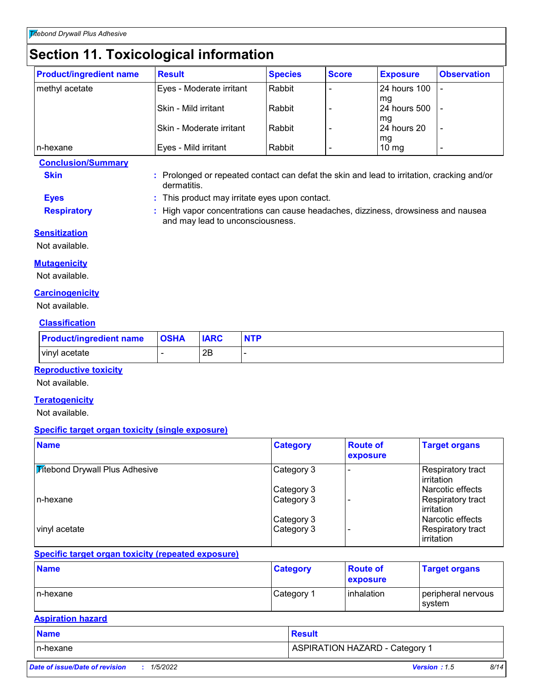### **Section 11. Toxicological information**

| <b>Product/ingredient name</b> | <b>Result</b>            | <b>Species</b> | <b>Score</b> | <b>Exposure</b>       | <b>Observation</b> |
|--------------------------------|--------------------------|----------------|--------------|-----------------------|--------------------|
| methyl acetate                 | Eyes - Moderate irritant | Rabbit         |              | 24 hours 100          |                    |
|                                | Skin - Mild irritant     | Rabbit         |              | mg<br>24 hours 500    |                    |
|                                | Skin - Moderate irritant | Rabbit         |              | mg<br>24 hours 20     |                    |
| n-hexane                       | Eyes - Mild irritant     | Rabbit         |              | mg<br>$10 \text{ mg}$ |                    |

**Conclusion/Summary**

- **Skin :** Prolonged or repeated contact can defat the skin and lead to irritation, cracking and/or dermatitis.
- **Eyes :** This product may irritate eyes upon contact.

and may lead to unconsciousness.

- 
- **Respiratory :** High vapor concentrations can cause headaches, dizziness, drowsiness and nausea
- **Sensitization**

Not available.

**Mutagenicity**

Not available.

#### **Carcinogenicity**

Not available.

### **Classification**

| <b>Product/ingredient name</b> | <b>OSHA</b> | <b>IARC</b> | <b>NTP</b> |
|--------------------------------|-------------|-------------|------------|
| I vinyl acetate                |             | 2Β          |            |

### **Reproductive toxicity**

Not available.

#### **Teratogenicity**

Not available.

#### **Specific target organ toxicity (single exposure)**

| <b>Name</b>                           | <b>Category</b> | <b>Route of</b><br>exposure | <b>Target organs</b>                    |
|---------------------------------------|-----------------|-----------------------------|-----------------------------------------|
| <b>Mitebond Drywall Plus Adhesive</b> | Category 3      |                             | Respiratory tract<br>l irritation       |
|                                       | Category 3      |                             | l Narcotic effects                      |
| In-hexane                             | Category 3      |                             | Respiratory tract<br>Irritation         |
|                                       | Category 3      |                             | l Narcotic effects                      |
| vinyl acetate                         | Category 3      |                             | Respiratory tract<br><b>lirritation</b> |

#### **Specific target organ toxicity (repeated exposure)**

| <b>Name</b> | <b>Category</b>        | <b>Route of</b><br>exposure | <b>Target organs</b>         |
|-------------|------------------------|-----------------------------|------------------------------|
| In-hexane   | ∣Category <sup>1</sup> | l inhalation                | peripheral nervous<br>svstem |

#### **Aspiration hazard**

| <b>Name</b> | <u>l Result</u>                           |
|-------------|-------------------------------------------|
| In-hexane   | ASPIRATION HAZARD - Category <sup>1</sup> |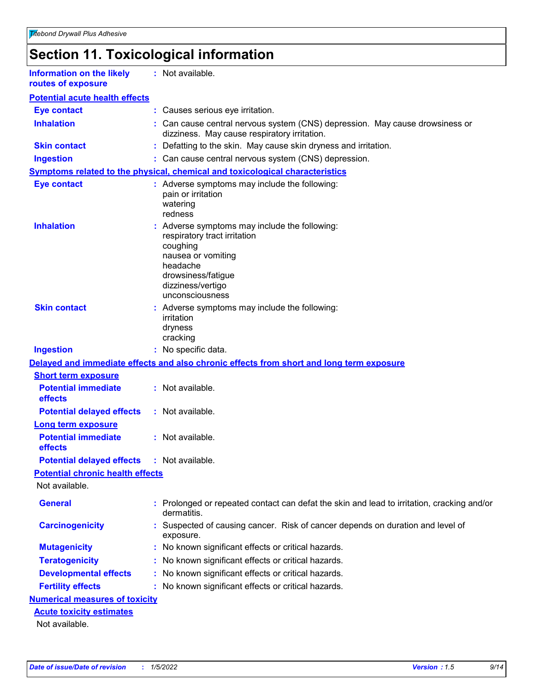### **Section 11. Toxicological information**

| <b>Information on the likely</b><br>routes of exposure | : Not available.                                                                                                                                                       |
|--------------------------------------------------------|------------------------------------------------------------------------------------------------------------------------------------------------------------------------|
| <b>Potential acute health effects</b>                  |                                                                                                                                                                        |
| <b>Eye contact</b>                                     | : Causes serious eye irritation.                                                                                                                                       |
| <b>Inhalation</b>                                      | : Can cause central nervous system (CNS) depression. May cause drowsiness or<br>dizziness. May cause respiratory irritation.                                           |
| <b>Skin contact</b>                                    | : Defatting to the skin. May cause skin dryness and irritation.                                                                                                        |
| <b>Ingestion</b>                                       | : Can cause central nervous system (CNS) depression.                                                                                                                   |
|                                                        | Symptoms related to the physical, chemical and toxicological characteristics                                                                                           |
| <b>Eye contact</b>                                     | : Adverse symptoms may include the following:<br>pain or irritation<br>watering<br>redness                                                                             |
| <b>Inhalation</b>                                      | : Adverse symptoms may include the following:<br>respiratory tract irritation<br>coughing<br>nausea or vomiting<br>headache<br>drowsiness/fatigue<br>dizziness/vertigo |
| <b>Skin contact</b>                                    | unconsciousness<br>: Adverse symptoms may include the following:<br>irritation<br>dryness<br>cracking                                                                  |
| <b>Ingestion</b>                                       | : No specific data.                                                                                                                                                    |
|                                                        | Delayed and immediate effects and also chronic effects from short and long term exposure                                                                               |
| <b>Short term exposure</b>                             |                                                                                                                                                                        |
| <b>Potential immediate</b><br>effects                  | : Not available.                                                                                                                                                       |
| <b>Potential delayed effects</b>                       | : Not available.                                                                                                                                                       |
| <b>Long term exposure</b>                              |                                                                                                                                                                        |
| <b>Potential immediate</b><br>effects                  | : Not available.                                                                                                                                                       |
| <b>Potential delayed effects : Not available.</b>      |                                                                                                                                                                        |
| <b>Potential chronic health effects</b>                |                                                                                                                                                                        |
| Not available.                                         |                                                                                                                                                                        |
| <b>General</b>                                         | : Prolonged or repeated contact can defat the skin and lead to irritation, cracking and/or<br>dermatitis.                                                              |
| <b>Carcinogenicity</b>                                 | Suspected of causing cancer. Risk of cancer depends on duration and level of<br>exposure.                                                                              |
| <b>Mutagenicity</b>                                    | : No known significant effects or critical hazards.                                                                                                                    |
| <b>Teratogenicity</b>                                  | : No known significant effects or critical hazards.                                                                                                                    |
| <b>Developmental effects</b>                           | : No known significant effects or critical hazards.                                                                                                                    |
| <b>Fertility effects</b>                               | : No known significant effects or critical hazards.                                                                                                                    |
| <b>Numerical measures of toxicity</b>                  |                                                                                                                                                                        |
| <b>Acute toxicity estimates</b>                        |                                                                                                                                                                        |
| Not available.                                         |                                                                                                                                                                        |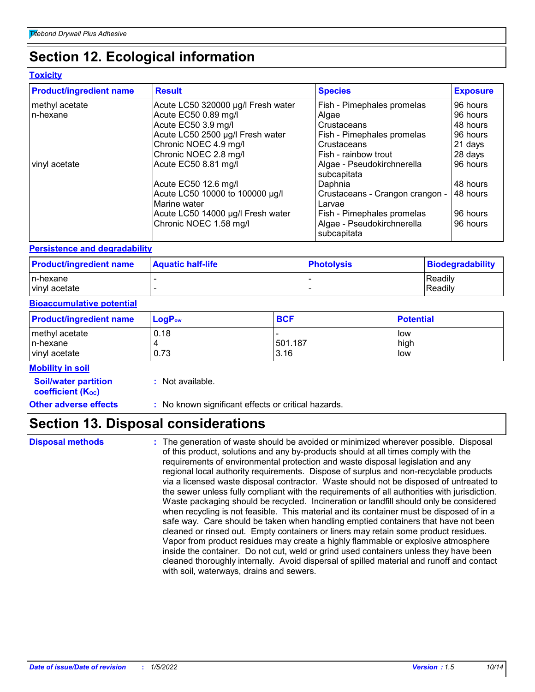### **Section 12. Ecological information**

### **Toxicity**

| <b>Product/ingredient name</b> | <b>Result</b>                                   | <b>Species</b>                            | <b>Exposure</b> |
|--------------------------------|-------------------------------------------------|-------------------------------------------|-----------------|
| methyl acetate                 | Acute LC50 320000 µg/l Fresh water              | Fish - Pimephales promelas                | 96 hours        |
| In-hexane                      | Acute EC50 0.89 mg/l                            | Algae                                     | 96 hours        |
|                                | Acute EC50 3.9 mg/l                             | Crustaceans                               | 48 hours        |
|                                | Acute LC50 2500 µg/l Fresh water                | Fish - Pimephales promelas                | 96 hours        |
|                                | Chronic NOEC 4.9 mg/l                           | Crustaceans                               | 21 days         |
|                                | Chronic NOEC 2.8 mg/l                           | Fish - rainbow trout                      | 28 days         |
| vinyl acetate                  | Acute EC50 8.81 mg/l                            | Algae - Pseudokirchnerella<br>subcapitata | 96 hours        |
|                                | Acute EC50 12.6 mg/l                            | Daphnia                                   | 48 hours        |
|                                | Acute LC50 10000 to 100000 µg/l<br>Marine water | Crustaceans - Crangon crangon -<br>Larvae | 48 hours        |
|                                | Acute LC50 14000 µg/l Fresh water               | Fish - Pimephales promelas                | 96 hours        |
|                                | Chronic NOEC 1.58 mg/l                          | Algae - Pseudokirchnerella<br>subcapitata | 96 hours        |

#### **Persistence and degradability**

| <b>Product/ingredient name</b> | <b>Aquatic half-life</b> | ∣PhotoIvsis | Biodegradability |
|--------------------------------|--------------------------|-------------|------------------|
| In-hexane                      |                          |             | Readily          |
| vinyl acetate                  |                          |             | Readily          |

#### **Bioaccumulative potential**

| <b>Product/ingredient name</b>               | $\mathsf{LogP}_\mathsf{ow}$ | <b>BCF</b>      | <b>Potential</b>   |
|----------------------------------------------|-----------------------------|-----------------|--------------------|
| methyl acetate<br>In-hexane<br>vinyl acetate | 0.18<br>0.73                | 501.187<br>3.16 | low<br>high<br>low |

#### **Mobility in soil**

**Soil/water partition coefficient (Koc)** 

**:** Not available.

**Other adverse effects :** No known significant effects or critical hazards.

### **Section 13. Disposal considerations**

**Disposal methods :**

The generation of waste should be avoided or minimized wherever possible. Disposal of this product, solutions and any by-products should at all times comply with the requirements of environmental protection and waste disposal legislation and any regional local authority requirements. Dispose of surplus and non-recyclable products via a licensed waste disposal contractor. Waste should not be disposed of untreated to the sewer unless fully compliant with the requirements of all authorities with jurisdiction. Waste packaging should be recycled. Incineration or landfill should only be considered when recycling is not feasible. This material and its container must be disposed of in a safe way. Care should be taken when handling emptied containers that have not been cleaned or rinsed out. Empty containers or liners may retain some product residues. Vapor from product residues may create a highly flammable or explosive atmosphere inside the container. Do not cut, weld or grind used containers unless they have been cleaned thoroughly internally. Avoid dispersal of spilled material and runoff and contact with soil, waterways, drains and sewers.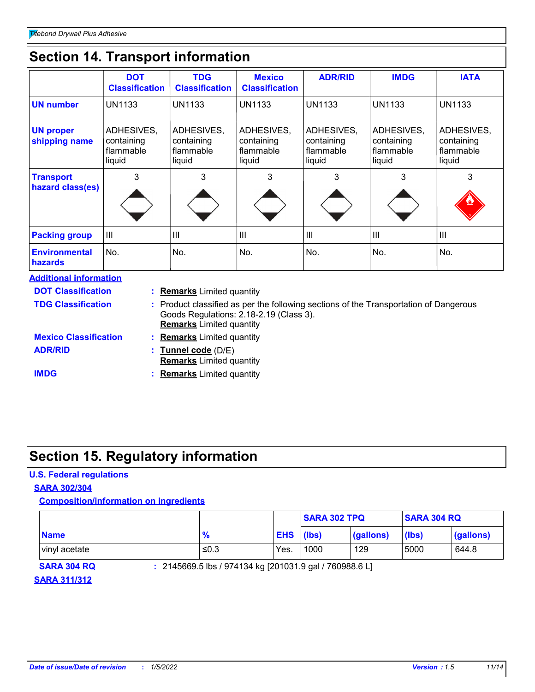### **Section 14. Transport information**

|                                        | <b>DOT</b><br><b>Classification</b>             | <b>TDG</b><br><b>Classification</b>             | <b>Mexico</b><br><b>Classification</b>          | <b>ADR/RID</b>                                  | <b>IMDG</b>                                     | <b>IATA</b>                                     |
|----------------------------------------|-------------------------------------------------|-------------------------------------------------|-------------------------------------------------|-------------------------------------------------|-------------------------------------------------|-------------------------------------------------|
| <b>UN number</b>                       | <b>UN1133</b>                                   | <b>UN1133</b>                                   | <b>UN1133</b>                                   | <b>UN1133</b>                                   | <b>UN1133</b>                                   | <b>UN1133</b>                                   |
| <b>UN proper</b><br>shipping name      | ADHESIVES,<br>containing<br>flammable<br>liquid | ADHESIVES,<br>containing<br>flammable<br>liquid | ADHESIVES,<br>containing<br>flammable<br>liquid | ADHESIVES,<br>containing<br>flammable<br>liquid | ADHESIVES,<br>containing<br>flammable<br>liquid | ADHESIVES,<br>containing<br>flammable<br>liquid |
| <b>Transport</b><br>hazard class(es)   | 3                                               | 3                                               | 3                                               | 3                                               | 3                                               | 3                                               |
| <b>Packing group</b>                   | III                                             | III                                             | III                                             | ÌШ                                              | $\mathbf{III}$                                  | III                                             |
| <b>Environmental</b><br><b>hazards</b> | No.                                             | No.                                             | No.                                             | No.                                             | No.                                             | No.                                             |

| <b>Additional information</b> |                                                                                                                                                                     |
|-------------------------------|---------------------------------------------------------------------------------------------------------------------------------------------------------------------|
| <b>DOT Classification</b>     | : Remarks Limited quantity                                                                                                                                          |
| <b>TDG Classification</b>     | : Product classified as per the following sections of the Transportation of Dangerous<br>Goods Regulations: 2.18-2.19 (Class 3).<br><b>Remarks</b> Limited quantity |
| <b>Mexico Classification</b>  | : Remarks Limited quantity                                                                                                                                          |
| <b>ADR/RID</b>                | : Tunnel code (D/E)<br><b>Remarks</b> Limited quantity                                                                                                              |
| <b>IMDG</b>                   | <b>Remarks</b> Limited quantity                                                                                                                                     |

### **Section 15. Regulatory information**

### **U.S. Federal regulations**

### **SARA 302/304**

### **Composition/information on ingredients**

|               |               |            | <b>SARA 302 TPQ</b> |           | <b>SARA 304 RQ</b> |           |
|---------------|---------------|------------|---------------------|-----------|--------------------|-----------|
| <b>Name</b>   | $\frac{9}{6}$ | <b>EHS</b> | (lbs)               | (gallons) | (lbs)              | (gallons) |
| vinyl acetate | ≤0.3          | Yes.       | 1000                | 129       | 5000               | 644.8     |

**SARA 304 RQ :** 2145669.5 lbs / 974134 kg [201031.9 gal / 760988.6 L]

### **SARA 311/312**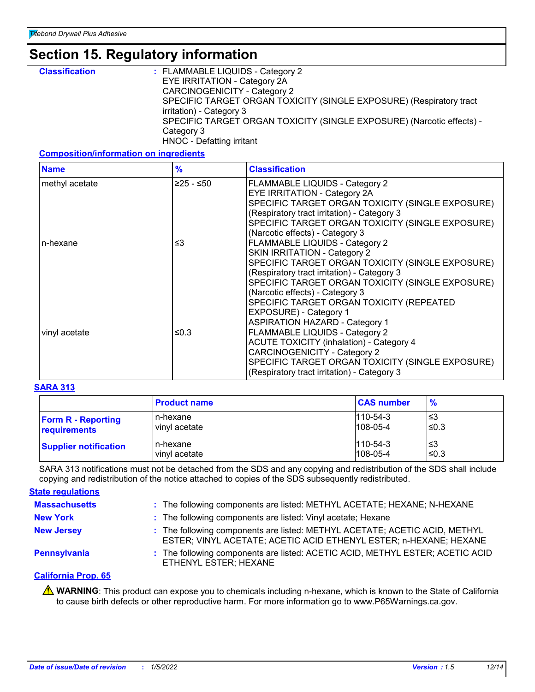### **Section 15. Regulatory information**

| <b>Classification</b> | : FLAMMABLE LIQUIDS - Category 2                                      |
|-----------------------|-----------------------------------------------------------------------|
|                       | EYE IRRITATION - Category 2A                                          |
|                       | <b>CARCINOGENICITY - Category 2</b>                                   |
|                       | SPECIFIC TARGET ORGAN TOXICITY (SINGLE EXPOSURE) (Respiratory tract   |
|                       | irritation) - Category 3                                              |
|                       | SPECIFIC TARGET ORGAN TOXICITY (SINGLE EXPOSURE) (Narcotic effects) - |
|                       | Category 3                                                            |
|                       | HNOC - Defatting irritant                                             |

#### **Composition/information on ingredients**

| <b>Name</b>    | $\frac{9}{6}$ | <b>Classification</b>                                                                                                                                                                                                                                                                                                                                                         |
|----------------|---------------|-------------------------------------------------------------------------------------------------------------------------------------------------------------------------------------------------------------------------------------------------------------------------------------------------------------------------------------------------------------------------------|
| methyl acetate | ≥25 - ≤50     | FLAMMABLE LIQUIDS - Category 2<br>EYE IRRITATION - Category 2A<br>SPECIFIC TARGET ORGAN TOXICITY (SINGLE EXPOSURE)<br>(Respiratory tract irritation) - Category 3<br>SPECIFIC TARGET ORGAN TOXICITY (SINGLE EXPOSURE)<br>(Narcotic effects) - Category 3                                                                                                                      |
| n-hexane       | ≤3            | FLAMMABLE LIQUIDS - Category 2<br>SKIN IRRITATION - Category 2<br>SPECIFIC TARGET ORGAN TOXICITY (SINGLE EXPOSURE)<br>(Respiratory tract irritation) - Category 3<br>SPECIFIC TARGET ORGAN TOXICITY (SINGLE EXPOSURE)                                                                                                                                                         |
| vinyl acetate  | ≤0.3          | (Narcotic effects) - Category 3<br>SPECIFIC TARGET ORGAN TOXICITY (REPEATED<br>EXPOSURE) - Category 1<br><b>ASPIRATION HAZARD - Category 1</b><br>FLAMMABLE LIQUIDS - Category 2<br><b>ACUTE TOXICITY (inhalation) - Category 4</b><br><b>CARCINOGENICITY - Category 2</b><br>SPECIFIC TARGET ORGAN TOXICITY (SINGLE EXPOSURE)<br>(Respiratory tract irritation) - Category 3 |

#### **SARA 313**

|                              | <b>Product name</b> | <b>CAS number</b> | $\frac{9}{6}$ |
|------------------------------|---------------------|-------------------|---------------|
| <b>Form R - Reporting</b>    | n-hexane            | $110 - 54 - 3$    | l≤3           |
| requirements                 | vinyl acetate       | $108 - 05 - 4$    | $\leq 0.3$    |
| <b>Supplier notification</b> | n-hexane            | $1110 - 54 - 3$   | l≤3           |
|                              | vinyl acetate       | $108 - 05 - 4$    | ≤0.3          |

SARA 313 notifications must not be detached from the SDS and any copying and redistribution of the SDS shall include copying and redistribution of the notice attached to copies of the SDS subsequently redistributed.

#### **State regulations**

| <b>Massachusetts</b> | : The following components are listed: METHYL ACETATE; HEXANE; N-HEXANE                                                                         |
|----------------------|-------------------------------------------------------------------------------------------------------------------------------------------------|
| <b>New York</b>      | : The following components are listed: Vinyl acetate; Hexane                                                                                    |
| <b>New Jersey</b>    | : The following components are listed: METHYL ACETATE; ACETIC ACID, METHYL<br>ESTER; VINYL ACETATE; ACETIC ACID ETHENYL ESTER; n-HEXANE; HEXANE |
| Pennsylvania         | : The following components are listed: ACETIC ACID, METHYL ESTER; ACETIC ACID<br>ETHENYL ESTER; HEXANE                                          |

#### **California Prop. 65**

**A** WARNING: This product can expose you to chemicals including n-hexane, which is known to the State of California to cause birth defects or other reproductive harm. For more information go to www.P65Warnings.ca.gov.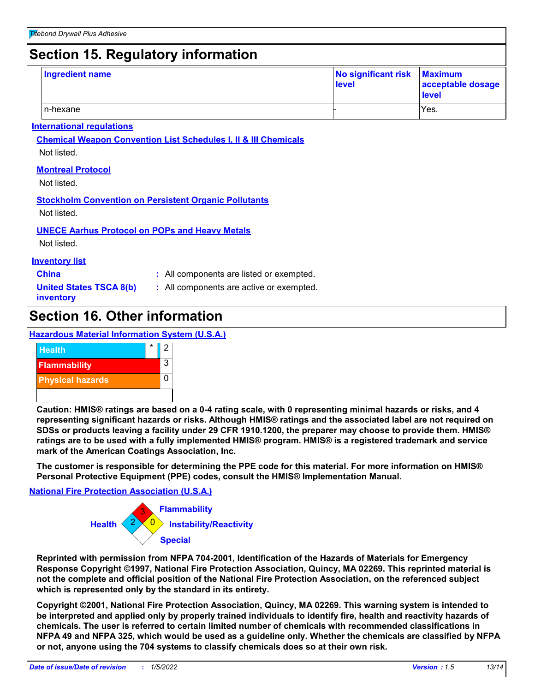### **Section 15. Regulatory information**

| <b>Ingredient name</b> | No significant risk Maximum<br>level | acceptable dosage<br><b>level</b> |
|------------------------|--------------------------------------|-----------------------------------|
| In-hexane              |                                      | Yes.                              |

#### **International regulations**

**Chemical Weapon Convention List Schedules I, II & III Chemicals** Not listed.

#### **Montreal Protocol**

Not listed.

### **Stockholm Convention on Persistent Organic Pollutants**

Not listed.

#### **UNECE Aarhus Protocol on POPs and Heavy Metals**

Not listed.

### **Inventory list**

**China :** All components are listed or exempted.

**United States TSCA 8(b) inventory**

**:** All components are active or exempted.

### **Section 16. Other information**

**Hazardous Material Information System (U.S.A.)**



**Caution: HMIS® ratings are based on a 0-4 rating scale, with 0 representing minimal hazards or risks, and 4 representing significant hazards or risks. Although HMIS® ratings and the associated label are not required on SDSs or products leaving a facility under 29 CFR 1910.1200, the preparer may choose to provide them. HMIS® ratings are to be used with a fully implemented HMIS® program. HMIS® is a registered trademark and service mark of the American Coatings Association, Inc.**

**The customer is responsible for determining the PPE code for this material. For more information on HMIS® Personal Protective Equipment (PPE) codes, consult the HMIS® Implementation Manual.**

#### **National Fire Protection Association (U.S.A.)**



**Reprinted with permission from NFPA 704-2001, Identification of the Hazards of Materials for Emergency Response Copyright ©1997, National Fire Protection Association, Quincy, MA 02269. This reprinted material is not the complete and official position of the National Fire Protection Association, on the referenced subject which is represented only by the standard in its entirety.**

**Copyright ©2001, National Fire Protection Association, Quincy, MA 02269. This warning system is intended to be interpreted and applied only by properly trained individuals to identify fire, health and reactivity hazards of chemicals. The user is referred to certain limited number of chemicals with recommended classifications in NFPA 49 and NFPA 325, which would be used as a guideline only. Whether the chemicals are classified by NFPA or not, anyone using the 704 systems to classify chemicals does so at their own risk.**